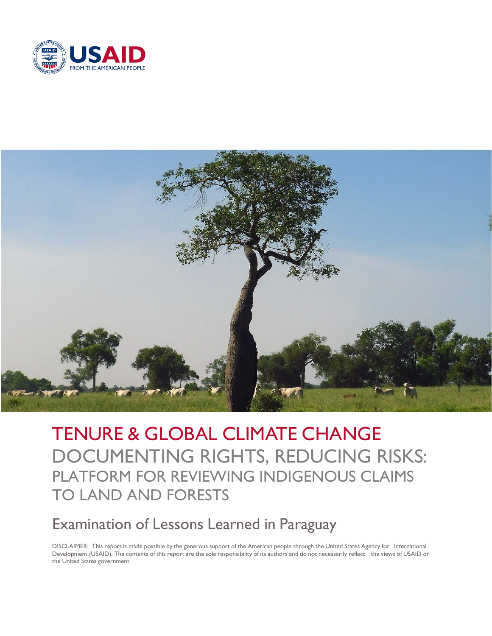



TENURE & GLOBAL CLIMATE CHANGE DOCUMENTING RIGHTS, REDUCING RISKS: PLATFORM FOR REVIEWING INDIGENOUS CLAIMS TO LAND AND FORESTS

# Examination of Lessons Learned in Paraguay

DISCLAIMER: This report is made possible by the generous support of the American people through the United States Agency for International Development (USAID). The contents of this report are the sole responsibility of its authors and do not necessarily reflect the views of USAID or the United States government.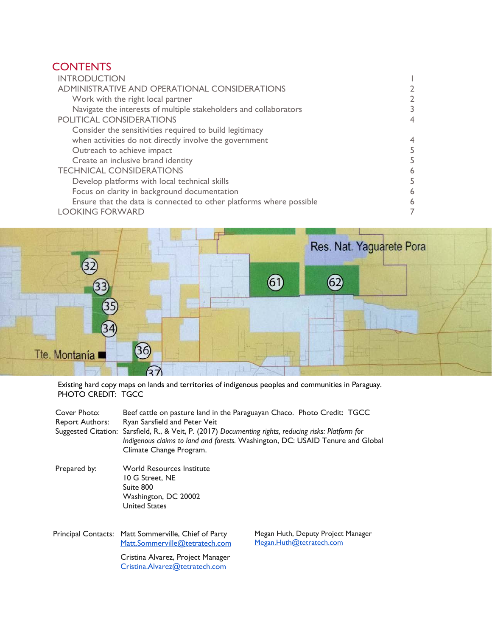# **CONTENTS**

| <b>INTRODUCTION</b>                                                 |   |
|---------------------------------------------------------------------|---|
| ADMINISTRATIVE AND OPERATIONAL CONSIDERATIONS                       |   |
| Work with the right local partner                                   |   |
| Navigate the interests of multiple stakeholders and collaborators   |   |
| <b>POLITICAL CONSIDERATIONS</b>                                     |   |
| Consider the sensitivities required to build legitimacy             |   |
| when activities do not directly involve the government              | 4 |
| Outreach to achieve impact                                          |   |
| Create an inclusive brand identity                                  |   |
| <b>TECHNICAL CONSIDERATIONS</b>                                     | 6 |
| Develop platforms with local technical skills                       |   |
| Focus on clarity in background documentation                        | 6 |
| Ensure that the data is connected to other platforms where possible | 6 |
| <b>LOOKING FORWARD</b>                                              |   |
|                                                                     |   |



Existing hard copy maps on lands and territories of indigenous peoples and communities in Paraguay. PHOTO CREDIT: TGCC

| Cover Photo:<br><b>Report Authors:</b> | Beef cattle on pasture land in the Paraguayan Chaco. Photo Credit: TGCC<br>Ryan Sarsfield and Peter Veit<br>Suggested Citation: Sarsfield, R., & Veit, P. (2017) Documenting rights, reducing risks: Platform for<br>Indigenous claims to land and forests. Washington, DC: USAID Tenure and Global<br>Climate Change Program. |                                                                |  |
|----------------------------------------|--------------------------------------------------------------------------------------------------------------------------------------------------------------------------------------------------------------------------------------------------------------------------------------------------------------------------------|----------------------------------------------------------------|--|
| Prepared by:                           | <b>World Resources Institute</b><br>10 G Street. NE<br>Suite 800<br>Washington, DC 20002<br><b>United States</b>                                                                                                                                                                                                               |                                                                |  |
|                                        | Principal Contacts: Matt Sommerville, Chief of Party<br>Matt.Sommerville@tetratech.com<br>Cristina Alvarez, Project Manager<br>Cristina.Alvarez@tetratech.com                                                                                                                                                                  | Megan Huth, Deputy Project Manager<br>Megan.Huth@tetratech.com |  |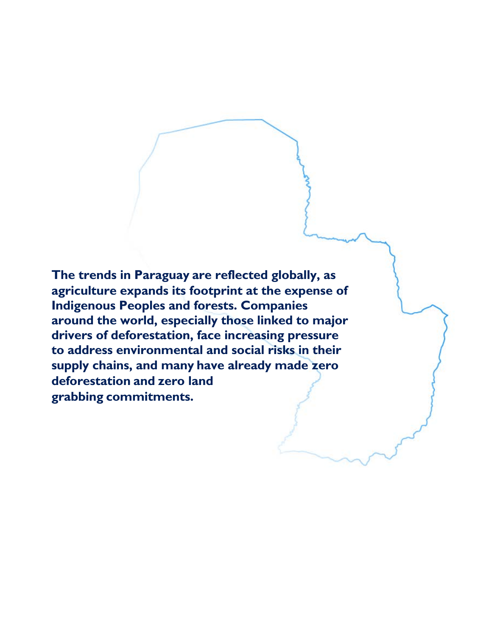**The trends in Paraguay are reflected globally, as agriculture expands its footprint at the expense of Indigenous Peoples and forests. Companies around the world, especially those linked to major drivers of deforestation, face increasing pressure to address environmental and social risks in their supply chains, and many have already made zero deforestation and zero land grabbing commitments.**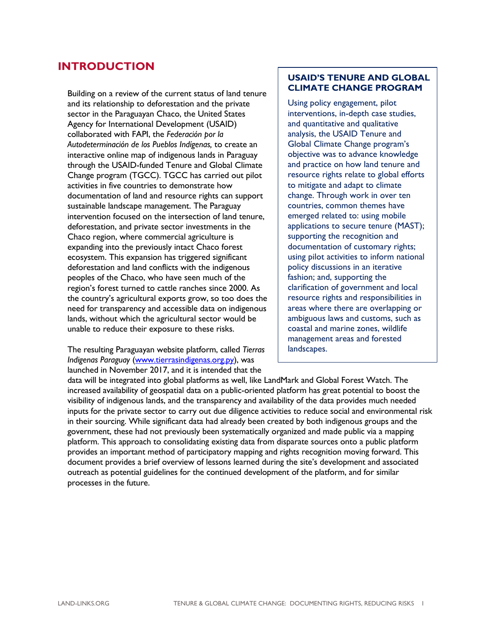### <span id="page-4-0"></span>**INTRODUCTION**

Building on a review of the current status of land tenure and its relationship to deforestation and the private sector in the Paraguayan Chaco, the United States Agency for International Development (USAID) collaborated with FAPI, the *Federación por la Autodeterminación de los Pueblos Indígenas,* to create an interactive online map of indigenous lands in Paraguay through the USAID-funded Tenure and Global Climate Change program (TGCC). TGCC has carried out pilot activities in five countries to demonstrate how documentation of land and resource rights can support sustainable landscape management. The Paraguay intervention focused on the intersection of land tenure, deforestation, and private sector investments in the Chaco region, where commercial agriculture is expanding into the previously intact Chaco forest ecosystem. This expansion has triggered significant deforestation and land conflicts with the indigenous peoples of the Chaco, who have seen much of the region's forest turned to cattle ranches since 2000. As the country's agricultural exports grow, so too does the need for transparency and accessible data on indigenous lands, without which the agricultural sector would be unable to reduce their exposure to these risks.

The resulting Paraguayan website platform, called *Tierras Indigenas Paraguay* (www.tierrasindigenas.org.py), was launched in November 2017, and it is intended that the

#### **USAID'S TENURE AND GLOBAL CLIMATE CHANGE PROGRAM**

Using policy engagement, pilot interventions, in-depth case studies, and quantitative and qualitative analysis, the USAID Tenure and Global Climate Change program's objective was to advance knowledge and practice on how land tenure and resource rights relate to global efforts to mitigate and adapt to climate change. Through work in over ten countries, common themes have emerged related to: using mobile applications to secure tenure (MAST); supporting the recognition and documentation of customary rights; using pilot activities to inform national policy discussions in an iterative fashion; and, supporting the clarification of government and local resource rights and responsibilities in areas where there are overlapping or ambiguous laws and customs, such as coastal and marine zones, wildlife management areas and forested landscapes.

data will be integrated into global platforms as well, like LandMark and Global Forest Watch. The increased availability of geospatial data on a public-oriented platform has great potential to boost the visibility of indigenous lands, and the transparency and availability of the data provides much needed inputs for the private sector to carry out due diligence activities to reduce social and environmental risk in their sourcing. While significant data had already been created by both indigenous groups and the government, these had not previously been systematically organized and made public via a mapping platform. This approach to consolidating existing data from disparate sources onto a public platform provides an important method of participatory mapping and rights recognition moving forward. This document provides a brief overview of lessons learned during the site's development and associated outreach as potential guidelines for the continued development of the platform, and for similar processes in the future.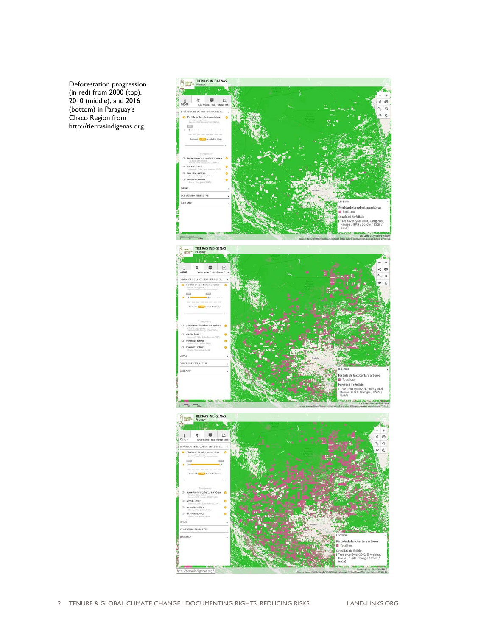Deforestation progression (in red) from 2000 (top), 2010 (middle), and 2016 (bottom) in Paraguay's Chaco Region from http://tierrasindigenas.org.

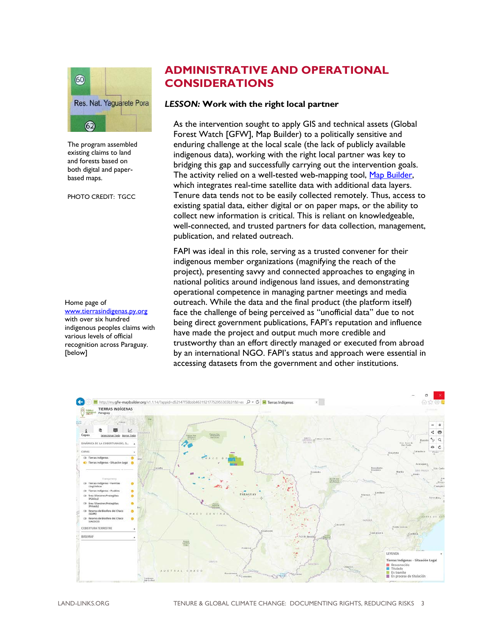

The program assembled existing claims to land and forests based on both digital and paperbased maps.

PHOTO CREDIT: TGCC

Home page of [www.tierrasindigenas.py.org](http://www.tierrasindigenas.py.org/) with over six hundred indigenous peoples claims with various levels of official recognition across Paraguay. [below]

### **ADMINISTRATIVE AND OPERATIONAL CONSIDERATIONS**

#### *LESSON:* **Work with the right local partner**

As the intervention sought to apply GIS and technical assets (Global Forest Watch [GFW], Map Builder) to a politically sensitive and enduring challenge at the local scale (the lack of publicly available indigenous data), working with the right local partner was key to bridging this gap and successfully carrying out the intervention goals. The activity relied on a well-tested web-mapping tool, [Map Builder,](http://blog.globalforestwatch.org/features/customizing-gfw-made-easy-with-map-builder.html) which integrates real-time satellite data with additional data layers. Tenure data tends not to be easily collected remotely. Thus, access to existing spatial data, either digital or on paper maps, or the ability to collect new information is critical. This is reliant on knowledgeable, well-connected, and trusted partners for data collection, management, publication, and related outreach.

FAPI was ideal in this role, serving as a trusted convener for their indigenous member organizations (magnifying the reach of the project), presenting savvy and connected approaches to engaging in national politics around indigenous land issues, and demonstrating operational competence in managing partner meetings and media outreach. While the data and the final product (the platform itself) face the challenge of being perceived as "unofficial data" due to not being direct government publications, FAPI's reputation and influence have made the project and output much more credible and trustworthy than an effort directly managed or executed from abroad by an international NGO. FAPI's status and approach were essential in accessing datasets from the government and other institutions.

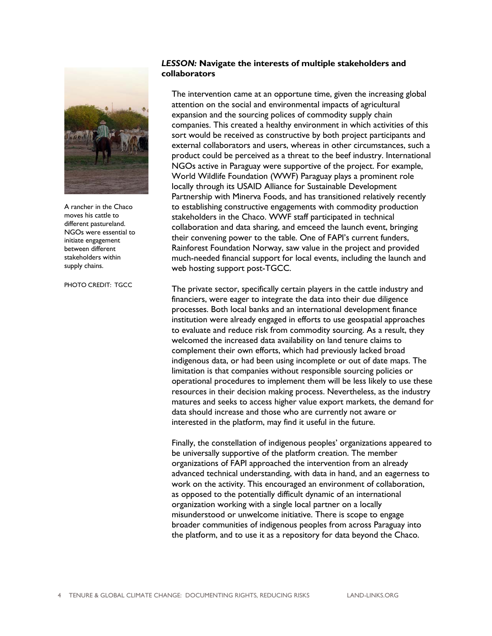

A rancher in the Chaco moves his cattle to different pastureland. NGOs were essential to initiate engagement between different stakeholders within supply chains.

PHOTO CREDIT: TGCC

#### *LESSON:* **Navigate the interests of multiple stakeholders and collaborators**

The intervention came at an opportune time, given the increasing global attention on the social and environmental impacts of agricultural expansion and the sourcing polices of commodity supply chain companies. This created a healthy environment in which activities of this sort would be received as constructive by both project participants and external collaborators and users, whereas in other circumstances, such a product could be perceived as a threat to the beef industry. International NGOs active in Paraguay were supportive of the project. For example, World Wildlife Foundation (WWF) Paraguay plays a prominent role locally through its USAID Alliance for Sustainable Development Partnership with Minerva Foods, and has transitioned relatively recently to establishing constructive engagements with commodity production stakeholders in the Chaco. WWF staff participated in technical collaboration and data sharing, and emceed the launch event, bringing their convening power to the table. One of FAPI's current funders, Rainforest Foundation Norway, saw value in the project and provided much-needed financial support for local events, including the launch and web hosting support post-TGCC.

The private sector, specifically certain players in the cattle industry and financiers, were eager to integrate the data into their due diligence processes. Both local banks and an international development finance institution were already engaged in efforts to use geospatial approaches to evaluate and reduce risk from commodity sourcing. As a result, they welcomed the increased data availability on land tenure claims to complement their own efforts, which had previously lacked broad indigenous data, or had been using incomplete or out of date maps. The limitation is that companies without responsible sourcing policies or operational procedures to implement them will be less likely to use these resources in their decision making process. Nevertheless, as the industry matures and seeks to access higher value export markets, the demand for data should increase and those who are currently not aware or interested in the platform, may find it useful in the future.

Finally, the constellation of indigenous peoples' organizations appeared to be universally supportive of the platform creation. The member organizations of FAPI approached the intervention from an already advanced technical understanding, with data in hand, and an eagerness to work on the activity. This encouraged an environment of collaboration, as opposed to the potentially difficult dynamic of an international organization working with a single local partner on a locally misunderstood or unwelcome initiative. There is scope to engage broader communities of indigenous peoples from across Paraguay into the platform, and to use it as a repository for data beyond the Chaco.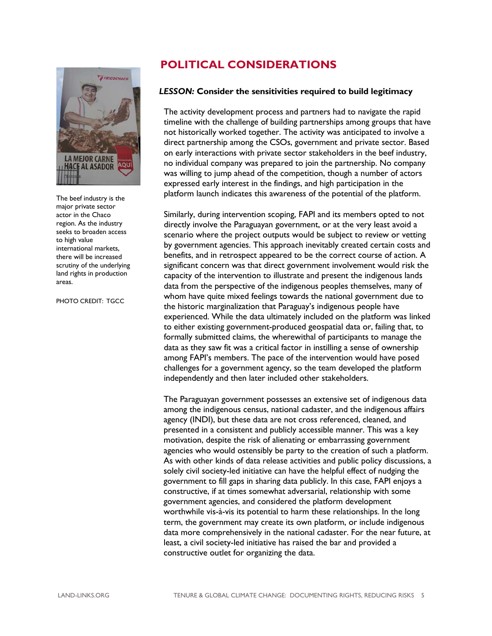

The beef industry is the major private sector actor in the Chaco region. As the industry seeks to broaden access to high value international markets, there will be increased scrutiny of the underlying land rights in production areas.

PHOTO CREDIT: TGCC

# **POLITICAL CONSIDERATIONS**

#### *LESSON:* **Consider the sensitivities required to build legitimacy**

The activity development process and partners had to navigate the rapid timeline with the challenge of building partnerships among groups that have not historically worked together. The activity was anticipated to involve a direct partnership among the CSOs, government and private sector. Based on early interactions with private sector stakeholders in the beef industry, no individual company was prepared to join the partnership. No company was willing to jump ahead of the competition, though a number of actors expressed early interest in the findings, and high participation in the platform launch indicates this awareness of the potential of the platform.

Similarly, during intervention scoping, FAPI and its members opted to not directly involve the Paraguayan government, or at the very least avoid a scenario where the project outputs would be subject to review or vetting by government agencies. This approach inevitably created certain costs and benefits, and in retrospect appeared to be the correct course of action. A significant concern was that direct government involvement would risk the capacity of the intervention to illustrate and present the indigenous lands data from the perspective of the indigenous peoples themselves, many of whom have quite mixed feelings towards the national government due to the historic marginalization that Paraguay's indigenous people have experienced. While the data ultimately included on the platform was linked to either existing government-produced geospatial data or, failing that, to formally submitted claims, the wherewithal of participants to manage the data as they saw fit was a critical factor in instilling a sense of ownership among FAPI's members. The pace of the intervention would have posed challenges for a government agency, so the team developed the platform independently and then later included other stakeholders.

The Paraguayan government possesses an extensive set of indigenous data among the indigenous census, national cadaster, and the indigenous affairs agency (INDI), but these data are not cross referenced, cleaned, and presented in a consistent and publicly accessible manner. This was a key motivation, despite the risk of alienating or embarrassing government agencies who would ostensibly be party to the creation of such a platform. As with other kinds of data release activities and public policy discussions, a solely civil society-led initiative can have the helpful effect of nudging the government to fill gaps in sharing data publicly. In this case, FAPI enjoys a constructive, if at times somewhat adversarial, relationship with some government agencies, and considered the platform development worthwhile vis-à-vis its potential to harm these relationships. In the long term, the government may create its own platform, or include indigenous data more comprehensively in the national cadaster. For the near future, at least, a civil society-led initiative has raised the bar and provided a constructive outlet for organizing the data.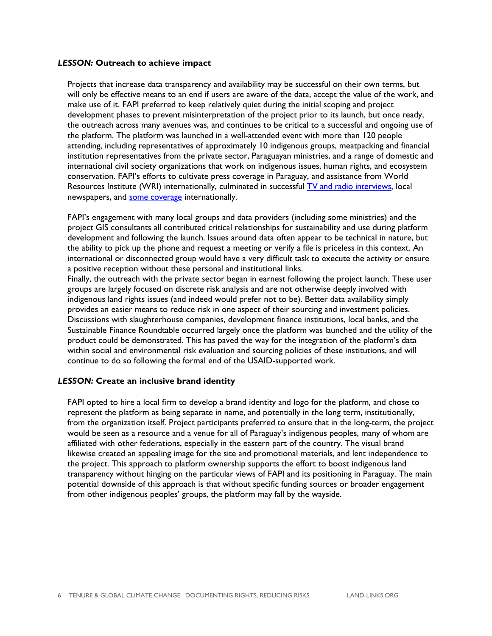#### *LESSON:* **Outreach to achieve impact**

Projects that increase data transparency and availability may be successful on their own terms, but will only be effective means to an end if users are aware of the data, accept the value of the work, and make use of it. FAPI preferred to keep relatively quiet during the initial scoping and project development phases to prevent misinterpretation of the project prior to its launch, but once ready, the outreach across many avenues was, and continues to be critical to a successful and ongoing use of the platform. The platform was launched in a well-attended event with more than 120 people attending, including representatives of approximately 10 indigenous groups, meatpacking and financial institution representatives from the private sector, Paraguayan ministries, and a range of domestic and international civil society organizations that work on indigenous issues, human rights, and ecosystem conservation. FAPI's efforts to cultivate press coverage in Paraguay, and assistance from World Resources Institute (WRI) internationally, culminated in successful [TV and radio interviews,](http://www.abc.com.py/tv/locales/primera-plataforma-que-registra-tierras-indigenas-1654870.html) local newspapers, and [some coverage](https://www.reuters.com/article/us-paraguay-landrights-indigenous/paraguays-first-digital-indigenous-map-aims-to-reduce-land-conflicts-idUSKBN1DS2GC) internationally.

FAPI's engagement with many local groups and data providers (including some ministries) and the project GIS consultants all contributed critical relationships for sustainability and use during platform development and following the launch. Issues around data often appear to be technical in nature, but the ability to pick up the phone and request a meeting or verify a file is priceless in this context. An international or disconnected group would have a very difficult task to execute the activity or ensure a positive reception without these personal and institutional links.

Finally, the outreach with the private sector began in earnest following the project launch. These user groups are largely focused on discrete risk analysis and are not otherwise deeply involved with indigenous land rights issues (and indeed would prefer not to be). Better data availability simply provides an easier means to reduce risk in one aspect of their sourcing and investment policies. Discussions with slaughterhouse companies, development finance institutions, local banks, and the Sustainable Finance Roundtable occurred largely once the platform was launched and the utility of the product could be demonstrated. This has paved the way for the integration of the platform's data within social and environmental risk evaluation and sourcing policies of these institutions, and will continue to do so following the formal end of the USAID-supported work.

#### *LESSON:* **Create an inclusive brand identity**

FAPI opted to hire a local firm to develop a brand identity and logo for the platform, and chose to represent the platform as being separate in name, and potentially in the long term, institutionally, from the organization itself. Project participants preferred to ensure that in the long-term, the project would be seen as a resource and a venue for all of Paraguay's indigenous peoples, many of whom are affiliated with other federations, especially in the eastern part of the country. The visual brand likewise created an appealing image for the site and promotional materials, and lent independence to the project. This approach to platform ownership supports the effort to boost indigenous land transparency without hinging on the particular views of FAPI and its positioning in Paraguay. The main potential downside of this approach is that without specific funding sources or broader engagement from other indigenous peoples' groups, the platform may fall by the wayside.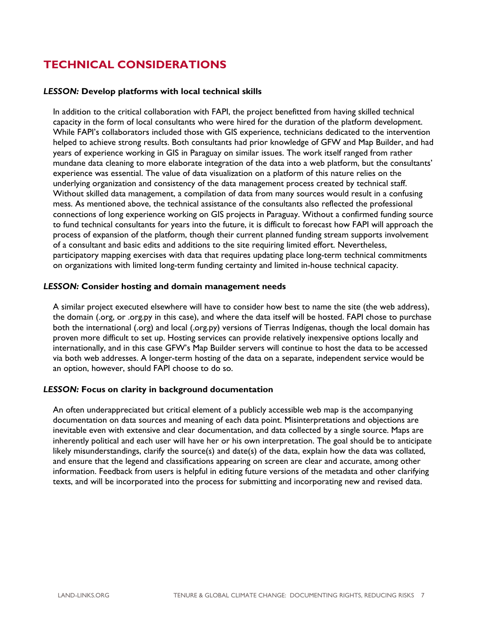# **TECHNICAL CONSIDERATIONS**

#### *LESSON:* **Develop platforms with local technical skills**

In addition to the critical collaboration with FAPI, the project benefitted from having skilled technical capacity in the form of local consultants who were hired for the duration of the platform development. While FAPI's collaborators included those with GIS experience, technicians dedicated to the intervention helped to achieve strong results. Both consultants had prior knowledge of GFW and Map Builder, and had years of experience working in GIS in Paraguay on similar issues. The work itself ranged from rather mundane data cleaning to more elaborate integration of the data into a web platform, but the consultants' experience was essential. The value of data visualization on a platform of this nature relies on the underlying organization and consistency of the data management process created by technical staff. Without skilled data management, a compilation of data from many sources would result in a confusing mess. As mentioned above, the technical assistance of the consultants also reflected the professional connections of long experience working on GIS projects in Paraguay. Without a confirmed funding source to fund technical consultants for years into the future, it is difficult to forecast how FAPI will approach the process of expansion of the platform, though their current planned funding stream supports involvement of a consultant and basic edits and additions to the site requiring limited effort. Nevertheless, participatory mapping exercises with data that requires updating place long-term technical commitments on organizations with limited long-term funding certainty and limited in-house technical capacity.

#### *LESSON:* **Consider hosting and domain management needs**

A similar project executed elsewhere will have to consider how best to name the site (the web address), the domain (.org, or .org.py in this case), and where the data itself will be hosted. FAPI chose to purchase both the international (.org) and local (.org.py) versions of Tierras Indígenas, though the local domain has proven more difficult to set up. Hosting services can provide relatively inexpensive options locally and internationally, and in this case GFW's Map Builder servers will continue to host the data to be accessed via both web addresses. A longer-term hosting of the data on a separate, independent service would be an option, however, should FAPI choose to do so.

#### *LESSON:* **Focus on clarity in background documentation**

An often underappreciated but critical element of a publicly accessible web map is the accompanying documentation on data sources and meaning of each data point. Misinterpretations and objections are inevitable even with extensive and clear documentation, and data collected by a single source. Maps are inherently political and each user will have her or his own interpretation. The goal should be to anticipate likely misunderstandings, clarify the source(s) and date(s) of the data, explain how the data was collated, and ensure that the legend and classifications appearing on screen are clear and accurate, among other information. Feedback from users is helpful in editing future versions of the metadata and other clarifying texts, and will be incorporated into the process for submitting and incorporating new and revised data.